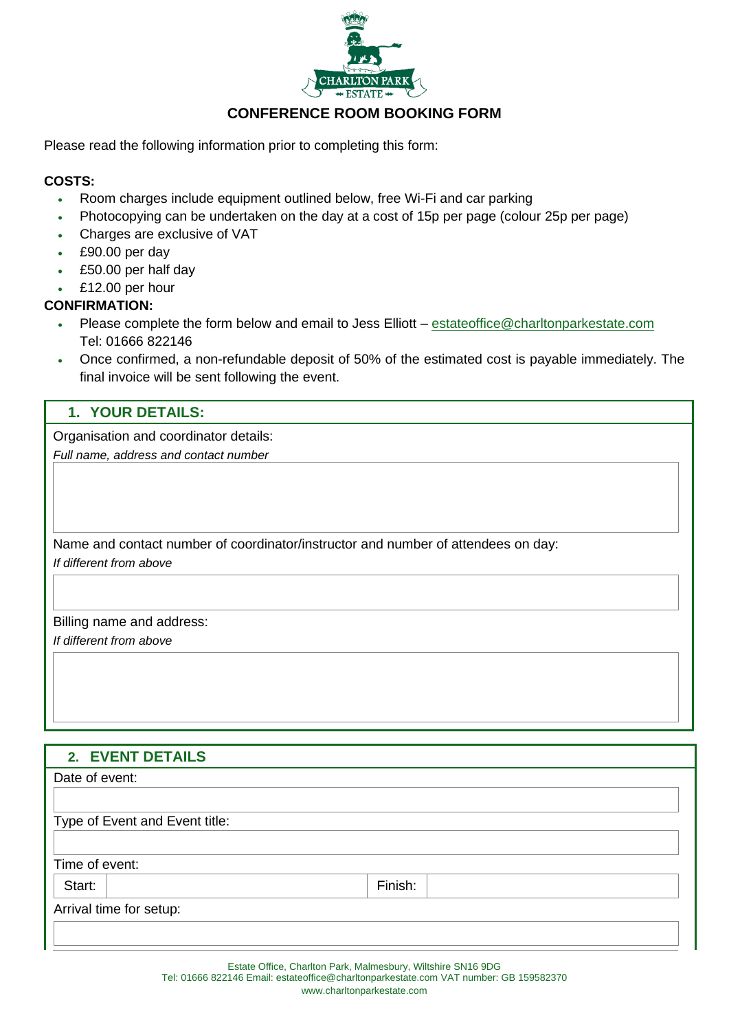

# **CONFERENCE ROOM BOOKING FORM**

Please read the following information prior to completing this form:

## **COSTS:**

- Room charges include equipment outlined below, free Wi-Fi and car parking
- Photocopying can be undertaken on the day at a cost of 15p per page (colour 25p per page)
- Charges are exclusive of VAT
- £90.00 per day
- £50.00 per half day
- £12.00 per hour

## **CONFIRMATION:**

- Please complete the form below and email to Jess Elliott [estateoffice@charltonparkestate.com](mailto:estateoffice@charltonparkestate.com) Tel: 01666 822146
- Once confirmed, a non-refundable deposit of 50% of the estimated cost is payable immediately. The final invoice will be sent following the event.

## **1. YOUR DETAILS:**

Organisation and coordinator details:

*Full name, address and contact number*

Name and contact number of coordinator/instructor and number of attendees on day: *If different from above*

Billing name and address:

*If different from above*

# **2. EVENT DETAILS**

| 2. EVENT DETAILS               |         |  |
|--------------------------------|---------|--|
| Date of event:                 |         |  |
|                                |         |  |
| Type of Event and Event title: |         |  |
|                                |         |  |
| Time of event:                 |         |  |
| Start:                         | Finish: |  |
| Arrival time for setup:        |         |  |
|                                |         |  |